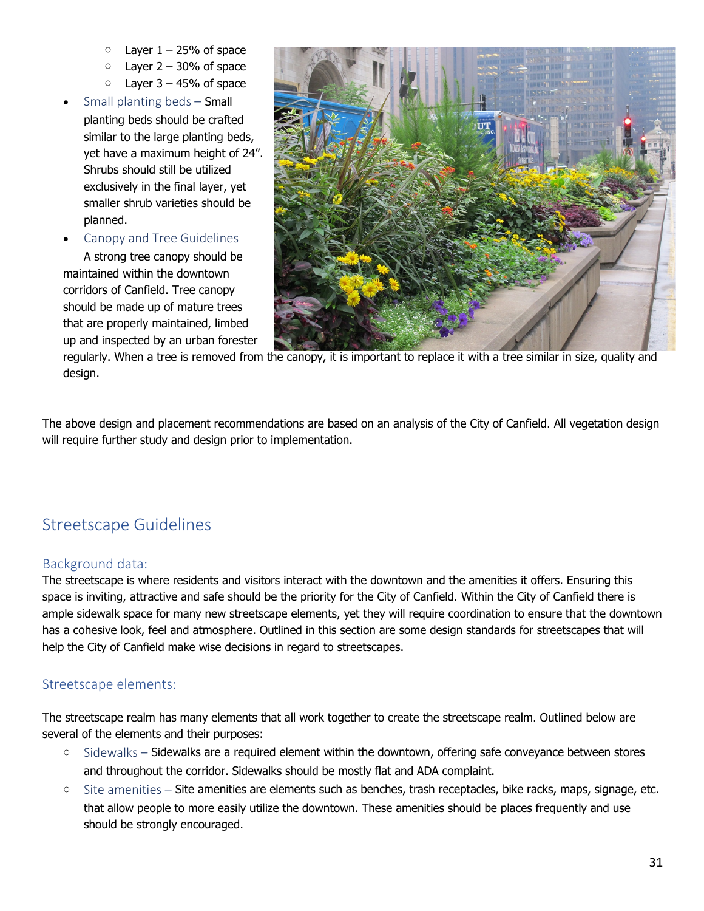- $\circ$  Layer  $1 25%$  of space
- $\circ$  Layer 2 30% of space
- $\circ$  Layer 3 45% of space
- Small planting beds  $-$  Small planting beds should be crafted similar to the large planting beds, yet have a maximum height of 24". Shrubs should still be utilized exclusively in the final layer, yet smaller shrub varieties should be planned.
- Canopy and Tree Guidelines

A strong tree canopy should be maintained within the downtown corridors of Canfield. Tree canopy should be made up of mature trees that are properly maintained, limbed up and inspected by an urban forester



regularly. When a tree is removed from the canopy, it is important to replace it with a tree similar in size, quality and design.

The above design and placement recommendations are based on an analysis of the City of Canfield. All vegetation design will require further study and design prior to implementation.

# Streetscape Guidelines

### Background data:

The streetscape is where residents and visitors interact with the downtown and the amenities it offers. Ensuring this space is inviting, attractive and safe should be the priority for the City of Canfield. Within the City of Canfield there is ample sidewalk space for many new streetscape elements, yet they will require coordination to ensure that the downtown has a cohesive look, feel and atmosphere. Outlined in this section are some design standards for streetscapes that will help the City of Canfield make wise decisions in regard to streetscapes.

### Streetscape elements:

The streetscape realm has many elements that all work together to create the streetscape realm. Outlined below are several of the elements and their purposes:

- o Sidewalks Sidewalks are a required element within the downtown, offering safe conveyance between stores and throughout the corridor. Sidewalks should be mostly flat and ADA complaint.
- $\circ$  Site amenities Site amenities are elements such as benches, trash receptacles, bike racks, maps, signage, etc. that allow people to more easily utilize the downtown. These amenities should be places frequently and use should be strongly encouraged.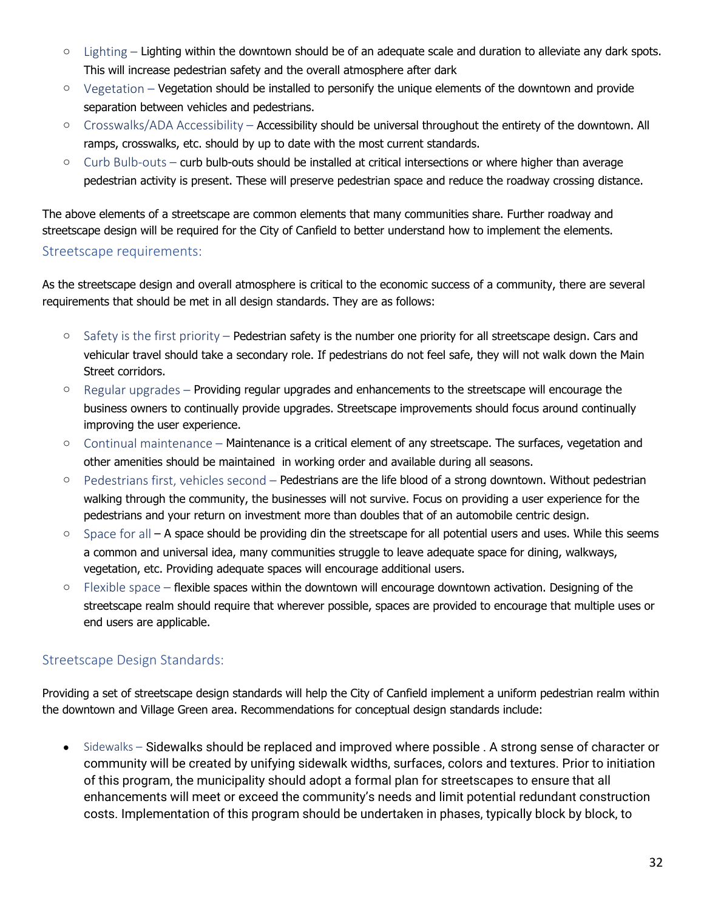- $\circ$  Lighting Lighting within the downtown should be of an adequate scale and duration to alleviate any dark spots. This will increase pedestrian safety and the overall atmosphere after dark
- $\circ$  Vegetation Vegetation should be installed to personify the unique elements of the downtown and provide separation between vehicles and pedestrians.
- $\circ$  Crosswalks/ADA Accessibility Accessibility should be universal throughout the entirety of the downtown. All ramps, crosswalks, etc. should by up to date with the most current standards.
- $\circ$  Curb Bulb-outs curb bulb-outs should be installed at critical intersections or where higher than average pedestrian activity is present. These will preserve pedestrian space and reduce the roadway crossing distance.

The above elements of a streetscape are common elements that many communities share. Further roadway and streetscape design will be required for the City of Canfield to better understand how to implement the elements.

#### Streetscape requirements:

As the streetscape design and overall atmosphere is critical to the economic success of a community, there are several requirements that should be met in all design standards. They are as follows:

- $\circ$  Safety is the first priority Pedestrian safety is the number one priority for all streetscape design. Cars and vehicular travel should take a secondary role. If pedestrians do not feel safe, they will not walk down the Main Street corridors.
- $\circ$  Regular upgrades Providing regular upgrades and enhancements to the streetscape will encourage the business owners to continually provide upgrades. Streetscape improvements should focus around continually improving the user experience.
- o Continual maintenance Maintenance is a critical element of any streetscape. The surfaces, vegetation and other amenities should be maintained in working order and available during all seasons.
- $\circ$  Pedestrians first, vehicles second Pedestrians are the life blood of a strong downtown. Without pedestrian walking through the community, the businesses will not survive. Focus on providing a user experience for the pedestrians and your return on investment more than doubles that of an automobile centric design.
- $\circ$  Space for all A space should be providing din the streetscape for all potential users and uses. While this seems a common and universal idea, many communities struggle to leave adequate space for dining, walkways, vegetation, etc. Providing adequate spaces will encourage additional users.
- o Flexible space flexible spaces within the downtown will encourage downtown activation. Designing of the streetscape realm should require that wherever possible, spaces are provided to encourage that multiple uses or end users are applicable.

## Streetscape Design Standards:

Providing a set of streetscape design standards will help the City of Canfield implement a uniform pedestrian realm within the downtown and Village Green area. Recommendations for conceptual design standards include:

• Sidewalks – Sidewalks should be replaced and improved where possible . A strong sense of character or community will be created by unifying sidewalk widths, surfaces, colors and textures. Prior to initiation of this program, the municipality should adopt a formal plan for streetscapes to ensure that all enhancements will meet or exceed the community's needs and limit potential redundant construction costs. Implementation of this program should be undertaken in phases, typically block by block, to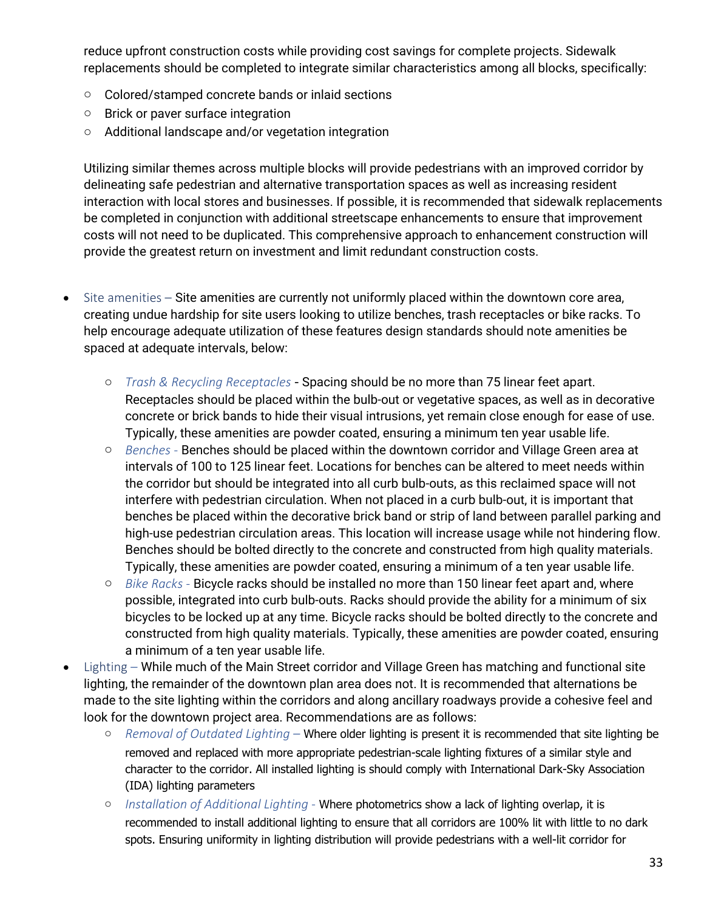reduce upfront construction costs while providing cost savings for complete projects. Sidewalk replacements should be completed to integrate similar characteristics among all blocks, specifically:

- o Colored/stamped concrete bands or inlaid sections
- o Brick or paver surface integration
- o Additional landscape and/or vegetation integration

Utilizing similar themes across multiple blocks will provide pedestrians with an improved corridor by delineating safe pedestrian and alternative transportation spaces as well as increasing resident interaction with local stores and businesses. If possible, it is recommended that sidewalk replacements be completed in conjunction with additional streetscape enhancements to ensure that improvement costs will not need to be duplicated. This comprehensive approach to enhancement construction will provide the greatest return on investment and limit redundant construction costs.

- Site amenities Site amenities are currently not uniformly placed within the downtown core area, creating undue hardship for site users looking to utilize benches, trash receptacles or bike racks. To help encourage adequate utilization of these features design standards should note amenities be spaced at adequate intervals, below:
	- o *Trash & Recycling Receptacles* Spacing should be no more than 75 linear feet apart. Receptacles should be placed within the bulb-out or vegetative spaces, as well as in decorative concrete or brick bands to hide their visual intrusions, yet remain close enough for ease of use. Typically, these amenities are powder coated, ensuring a minimum ten year usable life.
	- o *Benches -* Benches should be placed within the downtown corridor and Village Green area at intervals of 100 to 125 linear feet. Locations for benches can be altered to meet needs within the corridor but should be integrated into all curb bulb-outs, as this reclaimed space will not interfere with pedestrian circulation. When not placed in a curb bulb-out, it is important that benches be placed within the decorative brick band or strip of land between parallel parking and high-use pedestrian circulation areas. This location will increase usage while not hindering flow. Benches should be bolted directly to the concrete and constructed from high quality materials. Typically, these amenities are powder coated, ensuring a minimum of a ten year usable life.
	- o *Bike Racks -* Bicycle racks should be installed no more than 150 linear feet apart and, where possible, integrated into curb bulb-outs. Racks should provide the ability for a minimum of six bicycles to be locked up at any time. Bicycle racks should be bolted directly to the concrete and constructed from high quality materials. Typically, these amenities are powder coated, ensuring a minimum of a ten year usable life.
- Lighting *–* While much of the Main Street corridor and Village Green has matching and functional site lighting, the remainder of the downtown plan area does not. It is recommended that alternations be made to the site lighting within the corridors and along ancillary roadways provide a cohesive feel and look for the downtown project area. Recommendations are as follows:
	- o *Removal of Outdated Lighting –* Where older lighting is present it is recommended that site lighting be removed and replaced with more appropriate pedestrian-scale lighting fixtures of a similar style and character to the corridor. All installed lighting is should comply with International Dark-Sky Association (IDA) lighting parameters
	- o *Installation of Additional Lighting -* Where photometrics show a lack of lighting overlap, it is recommended to install additional lighting to ensure that all corridors are 100% lit with little to no dark spots. Ensuring uniformity in lighting distribution will provide pedestrians with a well-lit corridor for